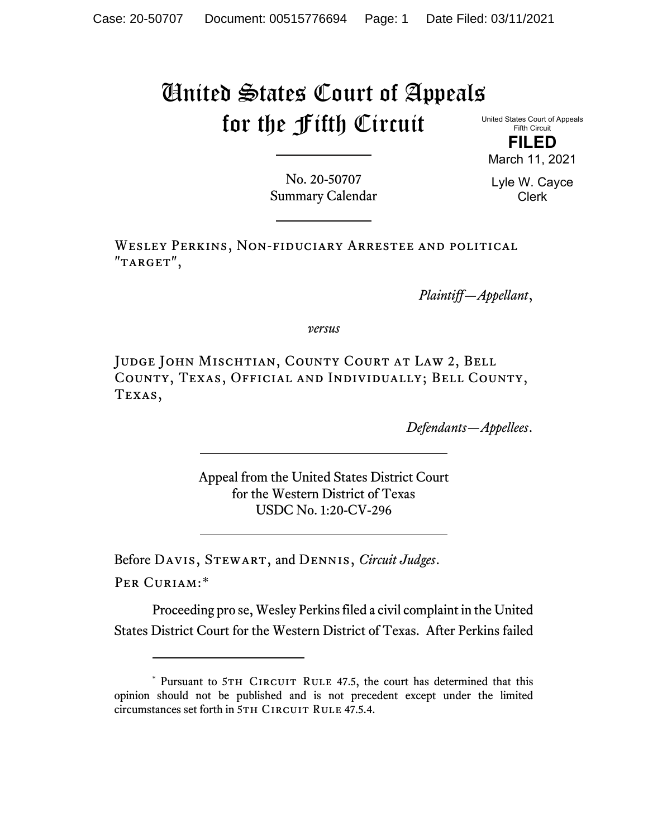## United States Court of Appeals for the Fifth Circuit

United States Court of Appeals Fifth Circuit

**FILED** March 11, 2021

No. 20-50707 Summary Calendar Lyle W. Cayce Clerk

Wesley Perkins, Non-fiduciary Arrestee and political "TARGET",

*Plaintiff—Appellant*,

*versus*

Judge John Mischtian, County Court at Law 2, Bell County, Texas, Official and Individually; Bell County, Texas,

*Defendants—Appellees*.

Appeal from the United States District Court for the Western District of Texas USDC No. 1:20-CV-296

Before Davis, Stewart, and Dennis, *Circuit Judges*.

Per Curiam:[\\*](#page-0-0)

Proceeding pro se, Wesley Perkins filed a civil complaint in the United States District Court for the Western District of Texas. After Perkins failed

<span id="page-0-0"></span><sup>\*</sup> Pursuant to 5TH CIRCUIT RULE 47.5, the court has determined that this opinion should not be published and is not precedent except under the limited circumstances set forth in 5TH CIRCUIT RULE 47.5.4.